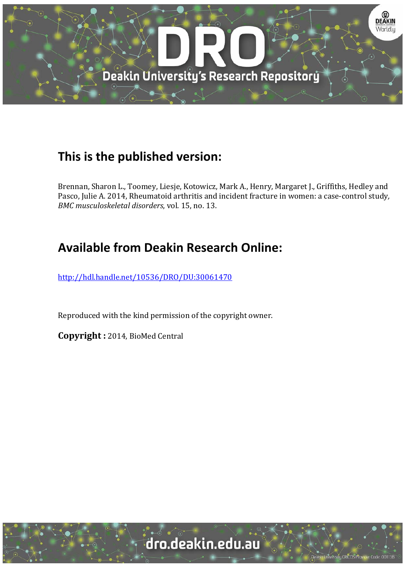

## **This is the published version:**

Brennan, Sharon L., Toomey, Liesje, Kotowicz, Mark A., Henry, Margaret J., Griffiths, Hedley and Pasco, Julie A. 2014, Rheumatoid arthritis and incident fracture in women: a case-control study, *BMC* musculoskeletal disorders, vol. 15, no. 13.

# **Available from Deakin Research Online:**

http://hdl.handle.net/10536/DRO/DU:30061470

Reproduced with the kind permission of the copyright owner.

**Copyright :** 2014, BioMed Central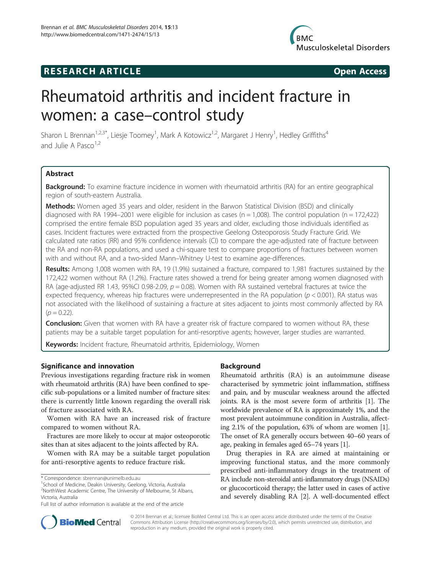### **RESEARCH ARTICLE Example 2014 CONSIDERING CONSIDERING CONSIDERING CONSIDERING CONSIDERING CONSIDERING CONSIDERING CONSIDERING CONSIDERING CONSIDERING CONSIDERING CONSIDERING CONSIDERING CONSIDERING CONSIDERING CONSIDE**



# Rheumatoid arthritis and incident fracture in women: a case–control study

Sharon L Brennan<sup>1,2,3\*</sup>, Liesje Toomey<sup>1</sup>, Mark A Kotowicz<sup>1,2</sup>, Margaret J Henry<sup>1</sup>, Hedley Griffiths<sup>4</sup> and Julie A Pasco $1,2$ 

#### Abstract

Background: To examine fracture incidence in women with rheumatoid arthritis (RA) for an entire geographical region of south-eastern Australia.

Methods: Women aged 35 years and older, resident in the Barwon Statistical Division (BSD) and clinically diagnosed with RA 1994–2001 were eligible for inclusion as cases ( $n = 1,008$ ). The control population ( $n = 172,422$ ) comprised the entire female BSD population aged 35 years and older, excluding those individuals identified as cases. Incident fractures were extracted from the prospective Geelong Osteoporosis Study Fracture Grid. We calculated rate ratios (RR) and 95% confidence intervals (CI) to compare the age-adjusted rate of fracture between the RA and non-RA populations, and used a chi-square test to compare proportions of fractures between women with and without RA, and a two-sided Mann–Whitney U-test to examine age-differences.

Results: Among 1,008 women with RA, 19 (1.9%) sustained a fracture, compared to 1,981 fractures sustained by the 172,422 women without RA (1.2%). Fracture rates showed a trend for being greater among women diagnosed with RA (age-adjusted RR 1.43, 95%CI 0.98-2.09,  $p = 0.08$ ). Women with RA sustained vertebral fractures at twice the expected frequency, whereas hip fractures were underrepresented in the RA population ( $p < 0.001$ ). RA status was not associated with the likelihood of sustaining a fracture at sites adjacent to joints most commonly affected by RA  $(p = 0.22)$ .

**Conclusion:** Given that women with RA have a greater risk of fracture compared to women without RA, these patients may be a suitable target population for anti-resorptive agents; however, larger studies are warranted.

Keywords: Incident fracture, Rheumatoid arthritis, Epidemiology, Women

#### Significance and innovation

Previous investigations regarding fracture risk in women with rheumatoid arthritis (RA) have been confined to specific sub-populations or a limited number of fracture sites: there is currently little known regarding the overall risk of fracture associated with RA.

Women with RA have an increased risk of fracture compared to women without RA.

Fractures are more likely to occur at major osteoporotic sites than at sites adjacent to the joints affected by RA.

Women with RA may be a suitable target population for anti-resorptive agents to reduce fracture risk.

#### Background

Rheumatoid arthritis (RA) is an autoimmune disease characterised by symmetric joint inflammation, stiffness and pain, and by muscular weakness around the affected joints. RA is the most severe form of arthritis [\[1\]](#page-5-0). The worldwide prevalence of RA is approximately 1%, and the most prevalent autoimmune condition in Australia, affecting 2.1% of the population, 63% of whom are women [[1](#page-5-0)]. The onset of RA generally occurs between 40–60 years of age, peaking in females aged 65–74 years [[1](#page-5-0)].

Drug therapies in RA are aimed at maintaining or improving functional status, and the more commonly prescribed anti-inflammatory drugs in the treatment of RA include non-steroidal anti-inflammatory drugs (NSAIDs) or glucocorticoid therapy; the latter used in cases of active and severely disabling RA [[2](#page-5-0)]. A well-documented effect



© 2014 Brennan et al.; licensee BioMed Central Ltd. This is an open access article distributed under the terms of the Creative Commons Attribution License [\(http://creativecommons.org/licenses/by/2.0\)](http://creativecommons.org/licenses/by/2.0), which permits unrestricted use, distribution, and reproduction in any medium, provided the original work is properly cited.

<sup>\*</sup> Correspondence: [sbrennan@unimelb.edu.au](mailto:sbrennan@unimelb.edu.au) <sup>1</sup>

<sup>&</sup>lt;sup>1</sup> School of Medicine, Deakin University, Geelong, Victoria, Australia 2 NorthWest Academic Centre, The University of Melbourne, St Albans, Victoria, Australia

Full list of author information is available at the end of the article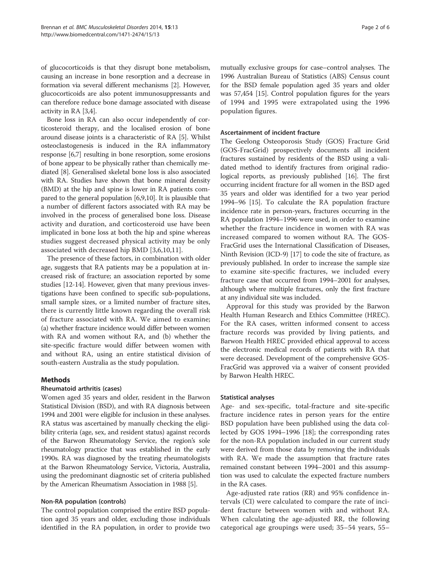of glucocorticoids is that they disrupt bone metabolism, causing an increase in bone resorption and a decrease in formation via several different mechanisms [[2](#page-5-0)]. However, glucocorticoids are also potent immunosuppressants and can therefore reduce bone damage associated with disease activity in RA [[3,4\]](#page-5-0).

Bone loss in RA can also occur independently of corticosteroid therapy, and the localised erosion of bone around disease joints is a characteristic of RA [\[5](#page-5-0)]. Whilst osteoclastogenesis is induced in the RA inflammatory response [[6,7](#page-5-0)] resulting in bone resorption, some erosions of bone appear to be physically rather than chemically mediated [\[8\]](#page-5-0). Generalised skeletal bone loss is also associated with RA. Studies have shown that bone mineral density (BMD) at the hip and spine is lower in RA patients compared to the general population [\[6,9,10\]](#page-5-0). It is plausible that a number of different factors associated with RA may be involved in the process of generalised bone loss. Disease activity and duration, and corticosteroid use have been implicated in bone loss at both the hip and spine whereas studies suggest decreased physical activity may be only associated with decreased hip BMD [[3,6,10,11](#page-5-0)].

The presence of these factors, in combination with older age, suggests that RA patients may be a population at increased risk of fracture; an association reported by some studies [\[12-14](#page-5-0)]. However, given that many previous investigations have been confined to specific sub-populations, small sample sizes, or a limited number of fracture sites, there is currently little known regarding the overall risk of fracture associated with RA. We aimed to examine; (a) whether fracture incidence would differ between women with RA and women without RA, and (b) whether the site-specific fracture would differ between women with and without RA, using an entire statistical division of south-eastern Australia as the study population.

#### Methods

#### Rheumatoid arthritis (cases)

Women aged 35 years and older, resident in the Barwon Statistical Division (BSD), and with RA diagnosis between 1994 and 2001 were eligible for inclusion in these analyses. RA status was ascertained by manually checking the eligibility criteria (age, sex, and resident status) against records of the Barwon Rheumatology Service, the region's sole rheumatology practice that was established in the early 1990s. RA was diagnosed by the treating rheumatologists at the Barwon Rheumatology Service, Victoria, Australia, using the predominant diagnostic set of criteria published by the American Rheumatism Association in 1988 [\[5\]](#page-5-0).

#### Non-RA population (controls)

The control population comprised the entire BSD population aged 35 years and older, excluding those individuals identified in the RA population, in order to provide two

mutually exclusive groups for case–control analyses. The 1996 Australian Bureau of Statistics (ABS) Census count for the BSD female population aged 35 years and older was 57,454 [\[15\]](#page-5-0). Control population figures for the years of 1994 and 1995 were extrapolated using the 1996 population figures.

#### Ascertainment of incident fracture

The Geelong Osteoporosis Study (GOS) Fracture Grid (GOS-FracGrid) prospectively documents all incident fractures sustained by residents of the BSD using a validated method to identify fractures from original radiological reports, as previously published [[16](#page-5-0)]. The first occurring incident fracture for all women in the BSD aged 35 years and older was identified for a two year period 1994–96 [[15](#page-5-0)]. To calculate the RA population fracture incidence rate in person-years, fractures occurring in the RA population 1994–1996 were used, in order to examine whether the fracture incidence in women with RA was increased compared to women without RA. The GOS-FracGrid uses the International Classification of Diseases, Ninth Revision (ICD-9) [\[17](#page-5-0)] to code the site of fracture, as previously published. In order to increase the sample size to examine site-specific fractures, we included every fracture case that occurred from 1994–2001 for analyses, although where multiple fractures, only the first fracture at any individual site was included.

Approval for this study was provided by the Barwon Health Human Research and Ethics Committee (HREC). For the RA cases, written informed consent to access fracture records was provided by living patients, and Barwon Health HREC provided ethical approval to access the electronic medical records of patients with RA that were deceased. Development of the comprehensive GOS-FracGrid was approved via a waiver of consent provided by Barwon Health HREC.

#### Statistical analyses

Age- and sex-specific, total-fracture and site-specific fracture incidence rates in person years for the entire BSD population have been published using the data collected by GOS 1994–1996 [\[18](#page-5-0)]; the corresponding rates for the non-RA population included in our current study were derived from those data by removing the individuals with RA. We made the assumption that fracture rates remained constant between 1994–2001 and this assumption was used to calculate the expected fracture numbers in the RA cases.

Age-adjusted rate ratios (RR) and 95% confidence intervals (CI) were calculated to compare the rate of incident fracture between women with and without RA. When calculating the age-adjusted RR, the following categorical age groupings were used; 35–54 years, 55–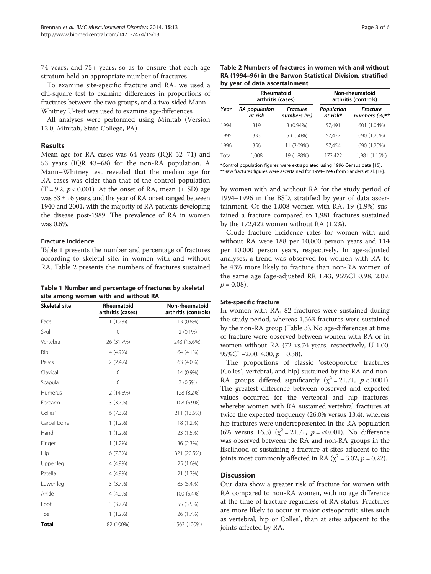74 years, and 75+ years, so as to ensure that each age stratum held an appropriate number of fractures.

To examine site-specific fracture and RA, we used a chi-square test to examine differences in proportions of fractures between the two groups, and a two-sided Mann– Whitney U-test was used to examine age-differences.

All analyses were performed using Minitab (Version 12.0; Minitab, State College, PA).

#### Results

Mean age for RA cases was 64 years (IQR 52–71) and 53 years (IQR 43–68) for the non-RA population. A Mann–Whitney test revealed that the median age for RA cases was older than that of the control population  $(T = 9.2, p < 0.001)$ . At the onset of RA, mean  $(\pm SD)$  age was  $53 \pm 16$  years, and the year of RA onset ranged between 1940 and 2001, with the majority of RA patients developing the disease post-1989. The prevalence of RA in women was 0.6%.

#### Fracture incidence

Table 1 presents the number and percentage of fractures according to skeletal site, in women with and without RA. Table 2 presents the numbers of fractures sustained

Table 1 Number and percentage of fractures by skeletal site among women with and without RA

| Skeletal site | Rheumatoid<br>arthritis (cases) | Non-rheumatoid<br>arthritis (controls) |  |  |
|---------------|---------------------------------|----------------------------------------|--|--|
| Face          | $1(1.2\%)$                      | 13 (0.8%)                              |  |  |
| Skull         | 0                               | $2(0.1\%)$                             |  |  |
| Vertebra      | 26 (31.7%)                      | 243 (15.6%).                           |  |  |
| <b>Rib</b>    | 4 (4.9%)                        | 64 (4.1%)                              |  |  |
| Pelvis        | 2(2.4%)                         | 63 (4.0%)                              |  |  |
| Clavical      | $\mathbf{0}$                    | 14 (0.9%)                              |  |  |
| Scapula       | $\mathbf 0$                     | 7(0.5%)                                |  |  |
| Humerus       | 12 (14.6%)                      | 128 (8.2%)                             |  |  |
| Forearm       | 3(3.7%)                         | 108 (6.9%)                             |  |  |
| Colles'       | 6(7.3%)                         | 211 (13.5%)                            |  |  |
| Carpal bone   | $1(1.2\%)$                      | 18 (1.2%)                              |  |  |
| Hand          | $1(1.2\%)$                      | 23 (1.5%)                              |  |  |
| Finger        | $1(1.2\%)$                      | 36 (2.3%)                              |  |  |
| Hip           | 6(7.3%)                         | 321 (20.5%)                            |  |  |
| Upper leg     | 4 (4.9%)                        | 25 (1.6%)                              |  |  |
| Patella       | 4 (4.9%)                        | 21 (1.3%)                              |  |  |
| Lower leg     | 3(3.7%)                         | 85 (5.4%)                              |  |  |
| Ankle         | 4 (4.9%)                        | 100 (6.4%)                             |  |  |
| Foot          | 3(3.7%)                         | 55 (3.5%)                              |  |  |
| Toe           | $1(1.2\%)$                      | 26 (1.7%)                              |  |  |
| <b>Total</b>  | 82 (100%)                       | 1563 (100%)                            |  |  |

| Page 3 of ( |  |  |
|-------------|--|--|
|             |  |  |

| Table 2 Numbers of fractures in women with and without      |
|-------------------------------------------------------------|
| RA (1994–96) in the Barwon Statistical Division, stratified |
| by year of data ascertainment                               |
|                                                             |

|       | Rheumatoid<br>arthritis (cases) |                                | Non-rheumatoid<br>arthritis (controls) |                             |  |  |
|-------|---------------------------------|--------------------------------|----------------------------------------|-----------------------------|--|--|
| Year  | <b>RA</b> population<br>at risk | <b>Fracture</b><br>numbers (%) | Population<br>at risk*                 | Fracture<br>numbers $(%)**$ |  |  |
| 1994  | 319                             | 3 (0.94%)                      | 57.491                                 | 601 (1.04%)                 |  |  |
| 1995  | 333                             | $5(1.50\%)$                    | 57.477                                 | 690 (1.20%)                 |  |  |
| 1996  | 356                             | 11 (3.09%)                     | 57.454                                 | 690 (1.20%)                 |  |  |
| Total | 1,008                           | 19 (1.88%)                     | 172,422                                | 1,981 (1.15%)               |  |  |

\*Control population figures were extrapolated using 1996 Census data [\[15](#page-5-0)]. \*\*Raw fractures figures were ascertained for 1994–1996 from Sanders et al. [[18\]](#page-5-0).

by women with and without RA for the study period of 1994–1996 in the BSD, stratified by year of data ascertainment. Of the 1,008 women with RA, 19 (1.9%) sustained a fracture compared to 1,981 fractures sustained by the 172,422 women without RA (1.2%).

Crude fracture incidence rates for women with and without RA were 188 per 10,000 person years and 114 per 10,000 person years, respectively. In age-adjusted analyses, a trend was observed for women with RA to be 43% more likely to fracture than non-RA women of the same age (age-adjusted RR 1.43, 95%CI 0.98, 2.09,  $p = 0.08$ .

#### Site-specific fracture

In women with RA, 82 fractures were sustained during the study period, whereas 1,563 fractures were sustained by the non-RA group (Table [3](#page-4-0)). No age-differences at time of fracture were observed between women with RA or in women without RA (72 vs.74 years, respectively, U-1.00, 95%CI  $-2.00$ , 4.00,  $p = 0.38$ ).

The proportions of classic 'osteoporotic' fractures (Colles', vertebral, and hip) sustained by the RA and non-RA groups differed significantly ( $\chi^2$  = 21.71,  $p$  < 0.001). The greatest difference between observed and expected values occurred for the vertebral and hip fractures, whereby women with RA sustained vertebral fractures at twice the expected frequency (26.0% versus 13.4), whereas hip fractures were underrepresented in the RA population (6% versus 16.3) ( $\chi^2$  = 21.71,  $p$  = <0.001). No difference was observed between the RA and non-RA groups in the likelihood of sustaining a fracture at sites adjacent to the joints most commonly affected in RA ( $\chi^2$  = 3.02, *p* = 0.22).

#### **Discussion**

Our data show a greater risk of fracture for women with RA compared to non-RA women, with no age difference at the time of fracture regardless of RA status. Fractures are more likely to occur at major osteoporotic sites such as vertebral, hip or Colles', than at sites adjacent to the joints affected by RA.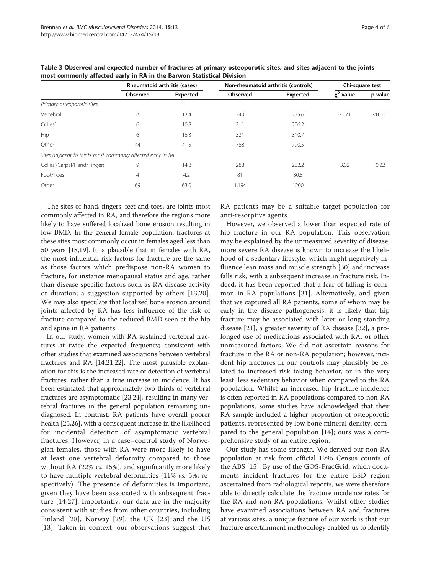|                                                             | Rheumatoid arthritis (cases) |          | Non-rheumatoid arthritis (controls) |                 | Chi-square test         |         |
|-------------------------------------------------------------|------------------------------|----------|-------------------------------------|-----------------|-------------------------|---------|
|                                                             | Observed                     | Expected | Observed                            | <b>Expected</b> | value<br>χ <sup>∠</sup> | p value |
| Primary osteoporotic sites                                  |                              |          |                                     |                 |                         |         |
| Vertebral                                                   | 26                           | 13.4     | 243                                 | 255.6           | 21.71                   | < 0.001 |
| Colles'                                                     | 6                            | 10.8     | 211                                 | 206.2           |                         |         |
| Hip                                                         | 6                            | 16.3     | 321                                 | 310.7           |                         |         |
| Other                                                       | 44                           | 41.5     | 788                                 | 790.5           |                         |         |
| Sites adjacent to joints most commonly affected early in RA |                              |          |                                     |                 |                         |         |
| Colles'/Carpal/Hand/Fingers                                 | 9                            | 14.8     | 288                                 | 282.2           | 3.02                    | 0.22    |
| Foot/Toes                                                   | 4                            | 4.2      | 81                                  | 80.8            |                         |         |
| Other                                                       | 69                           | 63.0     | 1,194                               | 1200            |                         |         |

<span id="page-4-0"></span>Table 3 Observed and expected number of fractures at primary osteoporotic sites, and sites adjacent to the joints most commonly affected early in RA in the Barwon Statistical Division

The sites of hand, fingers, feet and toes, are joints most commonly affected in RA, and therefore the regions more likely to have suffered localized bone erosion resulting in low BMD. In the general female population, fractures at these sites most commonly occur in females aged less than 50 years [[18,19\]](#page-5-0). It is plausible that in females with RA, the most influential risk factors for fracture are the same as those factors which predispose non-RA women to fracture, for instance menopausal status and age, rather than disease specific factors such as RA disease activity or duration; a suggestion supported by others [[13,](#page-5-0)[20](#page-6-0)]. We may also speculate that localized bone erosion around joints affected by RA has less influence of the risk of fracture compared to the reduced BMD seen at the hip and spine in RA patients.

In our study, women with RA sustained vertebral fractures at twice the expected frequency; consistent with other studies that examined associations between vertebral fractures and RA [\[14,](#page-5-0)[21,22](#page-6-0)]. The most plausible explanation for this is the increased rate of detection of vertebral fractures, rather than a true increase in incidence. It has been estimated that approximately two thirds of vertebral fractures are asymptomatic [[23,24](#page-6-0)], resulting in many vertebral fractures in the general population remaining undiagnosed. In contrast, RA patients have overall poorer health [[25](#page-6-0),[26](#page-6-0)], with a consequent increase in the likelihood for incidental detection of asymptomatic vertebral fractures. However, in a case–control study of Norwegian females, those with RA were more likely to have at least one vertebral deformity compared to those without RA (22% vs. 15%), and significantly more likely to have multiple vertebral deformities (11% vs. 5%, respectively). The presence of deformities is important, given they have been associated with subsequent fracture [[14](#page-5-0),[27\]](#page-6-0). Importantly, our data are in the majority consistent with studies from other countries, including Finland [[28](#page-6-0)], Norway [\[29](#page-6-0)], the UK [[23](#page-6-0)] and the US [[13](#page-5-0)]. Taken in context, our observations suggest that

RA patients may be a suitable target population for anti-resorptive agents.

However, we observed a lower than expected rate of hip fracture in our RA population. This observation may be explained by the unmeasured severity of disease; more severe RA disease is known to increase the likelihood of a sedentary lifestyle, which might negatively influence lean mass and muscle strength [[30\]](#page-6-0) and increase falls risk, with a subsequent increase in fracture risk. Indeed, it has been reported that a fear of falling is common in RA populations [[31](#page-6-0)]. Alternatively, and given that we captured all RA patients, some of whom may be early in the disease pathogenesis, it is likely that hip fracture may be associated with later or long standing disease [\[21](#page-6-0)], a greater severity of RA disease [[32](#page-6-0)], a prolonged use of medications associated with RA, or other unmeasured factors. We did not ascertain reasons for fracture in the RA or non-RA population; however, incident hip fractures in our controls may plausibly be related to increased risk taking behavior, or in the very least, less sedentary behavior when compared to the RA population. Whilst an increased hip fracture incidence is often reported in RA populations compared to non-RA populations, some studies have acknowledged that their RA sample included a higher proportion of osteoporotic patients, represented by low bone mineral density, compared to the general population [[14\]](#page-5-0); ours was a comprehensive study of an entire region.

Our study has some strength. We derived our non-RA population at risk from official 1996 Census counts of the ABS [[15](#page-5-0)]. By use of the GOS-FracGrid, which documents incident fractures for the entire BSD region ascertained from radiological reports, we were therefore able to directly calculate the fracture incidence rates for the RA and non-RA populations. Whilst other studies have examined associations between RA and fractures at various sites, a unique feature of our work is that our fracture ascertainment methodology enabled us to identify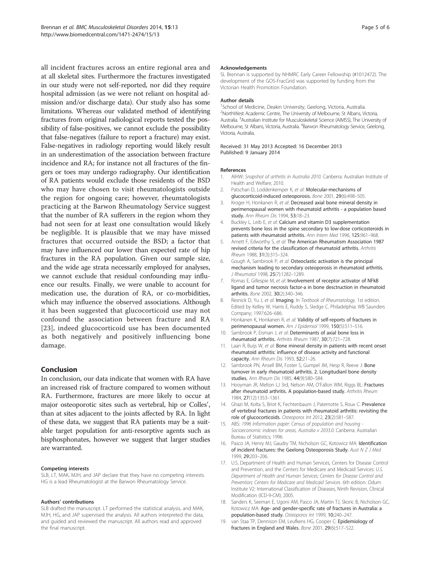<span id="page-5-0"></span>all incident fractures across an entire regional area and at all skeletal sites. Furthermore the fractures investigated in our study were not self-reported, nor did they require hospital admission (as we were not reliant on hospital admission and/or discharge data). Our study also has some limitations. Whereas our validated method of identifying fractures from original radiological reports tested the possibility of false-positives, we cannot exclude the possibility that false-negatives (failure to report a fracture) may exist. False-negatives in radiology reporting would likely result in an underestimation of the association between fracture incidence and RA; for instance not all fractures of the fingers or toes may undergo radiography. Our identification of RA patients would exclude those residents of the BSD who may have chosen to visit rheumatologists outside the region for ongoing care; however, rheumatologists practicing at the Barwon Rheumatology Service suggest that the number of RA sufferers in the region whom they had not seen for at least one consultation would likely be negligible. It is plausible that we may have missed fractures that occurred outside the BSD; a factor that may have influenced our lower than expected rate of hip fractures in the RA population. Given our sample size, and the wide age strata necessarily employed for analyses, we cannot exclude that residual confounding may influence our results. Finally, we were unable to account for medication use, the duration of RA, or co-morbidities, which may influence the observed associations. Although it has been suggested that glucocorticoid use may not confound the association between fracture and RA [[23](#page-6-0)], indeed glucocorticoid use has been documented as both negatively and positively influencing bone damage.

#### Conclusion

In conclusion, our data indicate that women with RA have an increased risk of fracture compared to women without RA. Furthermore, fractures are more likely to occur at major osteoporotic sites such as vertebral, hip or Colles', than at sites adjacent to the joints affected by RA. In light of these data, we suggest that RA patients may be a suitable target population for anti-resorptive agents such as bisphosphonates, however we suggest that larger studies are warranted.

#### Competing interests

SLB, LT, MAK, MJH, and JAP declare that they have no competing interests. HG is a lead Rheumatologist at the Barwon Rheumatology Service.

#### Authors' contributions

SLB drafted the manuscript. LT performed the statistical analysis, and MAK, MJH, HG, and JAP supervised the analysis. All authors interpreted the data, and guided and reviewed the manuscript. All authors read and approved the final manuscript.

#### Acknowledgements

SL Brennan is supported by NHMRC Early Career Fellowship (#1012472). The development of the GOS-FracGrid was supported by funding from the Victorian Health Promotion Foundation.

#### Author details

<sup>1</sup>School of Medicine, Deakin University, Geelong, Victoria, Australia <sup>2</sup>NorthWest Academic Centre, The University of Melbourne, St Albans, Victoria, Australia. <sup>3</sup> Australian Institute for Musculoskeletal Science (AIMSS), The University of Melbourne, St Albans, Victoria, Australia. <sup>4</sup>Barwon Rheumatology Service, Geelong, Victoria, Australia.

Received: 31 May 2013 Accepted: 16 December 2013 Published: 9 January 2014

#### References

- 1. AIHW: Snapshot of arthritis in Australia 2010. Canberra: Australian Institute of Health and Welfare; 2010.
- 2. Patschan D, Loddenkemper K, et al: Molecular-mechanisms of glucocorticoid-induced osteoporosis. Bone 2001, 29(6):498–505.
- 3. Kroger H, Honkanen R, et al: Decreased axial bone mineral density in perimenopausal women with rheumatoid arthritis - a population based study. Ann Rheum Dis 1994, 53:18–23.
- 4. Buckley L, Leib E, et al: Calcium and vitamin D3 supplementation prevents bone loss in the spine secondary to low-dose corticosteroids in patients with rheumatoid arthritis. Ann Intern Med 1996, 125:961–968.
- 5. Arnett F, Edworthy S, et al: The American Rheumatism Association 1987 revised criteria for the classification of rheumatoid arthritis. Arthritis Rheum 1988, 31(3):315–324.
- 6. Gough A, Sambrook P, et al: Osteoclastic activation is the principal mechanism leading to secondary osteoporosis in rheumatoid arthritis. J Rheumatol 1998, 25(7):1282–1289.
- 7. Romas E, Gillespie M, et al: Involvement of receptor activator of NFkB ligand and tumor necrosis factor-a in bone desctruction in rheumatoid arthritis. Bone 2002, 30(2):340–346.
- Resnick D, Yu J, et al: Imaging. In Textbook of Rheumatology. 1st edition. Edited by Kelley W, Harris E, Ruddy S, Sledge C. Philadelphia: WB Saunders Company; 1997:626–686.
- 9. Honkanen K, Honkanen R, et al: Validity of self-reports of fractures in perimenopausal women. Am J Epidemiol 1999, 150(5):511–516.
- 10. Sambrook P, Eisman J, et al: Determinants of axial bone loss in rheumatoid arthritis. Arthritis Rheum 1987, 30(7):721–728.
- 11. Laan R, Buijs W, et al: Bone mineral density in patients with recent onset rheumatoid arthritis: influence of disease activity and functional capacity. Ann Rheum Dis 1993, 52:21–26.
- 12. Sambrook PN, Ansell BM, Foster S, Gumpel JM, Hesp R, Reeve J: Bone turnover in early rheumatoid arthritis. 2. Longitudianl bone density studies. Ann Rheum Dis 1985, 44(9):580–584.
- 13. Hooyman JR, Melton LJ 3rd, Nelson AM, O'Fallon WM, Riggs BL: Fractures after rheumatoid arthritis. A population-based study. Arthritis Rheum 1984, 27(12):1353–1361.
- 14. Ghazi M, Kolta S, Briot K, Fechtenbaum J, Paternotte S, Roux C: Prevalence of vertebral fractures in patients with rheumatoid arthritis: revisiting the role of glucocorticoids. Osteoporos Int 2012, 23(2):581–587.
- 15. ABS: 1996 Information paper: Census of population and housing -Socioeconomic indexes for areas, Australia v 2033.0. Canberra: Australian Bureau of Statistics; 1996.
- 16. Pasco JA, Henry MJ, Gaudry TM, Nicholson GC, Kotowicz MA: Identification of incident fractures: the Geelong Osteoporosis Study. Aust  $N Z J Med$ 1999, 29:203–206.
- 17. U.S. Department of Health and Human Services, Centers for Disease Control and Prevention, and the Centers for Medicare and Medicaid Services: U.S. Department of Health and Human Services; Centers for Disease Control and Prevention; Centers for Medicare and Medicaid Services. 6th edition. Odum Institute V2: International Classification of Diseases, Ninth Revision, Clinical Modification (ICD-9-CM); 2005.
- 18. Sanders K, Seeman E, Ugoni AM, Pasco JA, Martin TJ, Skoric B, Nicholson GC, Kotowicz MA: Age- and gender-specific rate of fractures in Australia: a population-based study. Osteoporos Int 1999, 10:240–247.
- 19. van Staa TP, Dennison EM, Leufkens HG, Cooper C: Epidemiology of fractures in England and Wales. Bone 2001, 29(6):517–522.